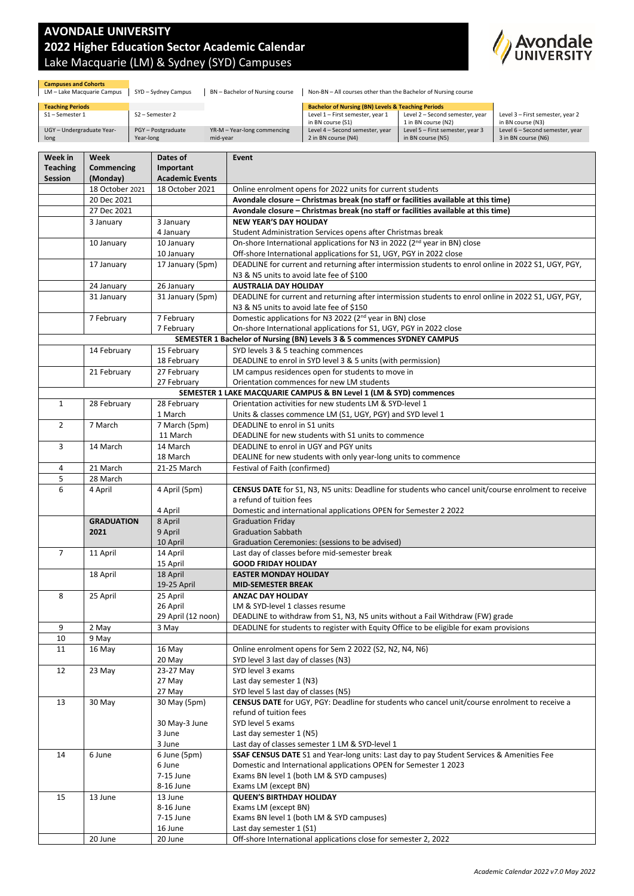## **AVONDALE UNIVERSITY 2022 Higher Education Sector Academic Calendar** Lake Macquarie (LM) & Sydney (SYD) Campuses



**Campuses and Cohorts**<br>LM – Lake Macquarie Campus | SYD – Sydney Campus | BN – Bachelor of Nursing course | Non-BN – All courses other than the Bachelor of Nursing course

| <b>Teaching Periods</b>   |                    |                             | <b>Bachelor of Nursing (BN) Levels &amp; Teaching Periods</b> |                                  |                                  |
|---------------------------|--------------------|-----------------------------|---------------------------------------------------------------|----------------------------------|----------------------------------|
| S1-Semester 1             | S2 - Semester 2    |                             | Level 1 - First semester, year 1                              | Level 2 - Second semester, year  | Level 3 - First semester, year 2 |
|                           |                    |                             | in BN course (S1)                                             | 1 in BN course (N2)              | in BN course (N3)                |
| UGY - Undergraduate Year- | PGY - Postgraduate | YR-M – Year-long commencing | Level 4 - Second semester, year                               | Level 5 - First semester, year 3 | Level 6 - Second semester, year  |
| long                      | Year-long          | mid-vear                    | 2 in BN course (N4)                                           | in BN course (N5)                | 3 in BN course (N6)              |

| Week in         | Week              | Dates of                       | Event                                                                                                                                                                       |  |
|-----------------|-------------------|--------------------------------|-----------------------------------------------------------------------------------------------------------------------------------------------------------------------------|--|
| <b>Teaching</b> | Commencing        | Important                      |                                                                                                                                                                             |  |
| Session         | (Monday)          | <b>Academic Events</b>         |                                                                                                                                                                             |  |
|                 | 18 October 2021   | 18 October 2021                | Online enrolment opens for 2022 units for current students                                                                                                                  |  |
|                 | 20 Dec 2021       |                                | Avondale closure - Christmas break (no staff or facilities available at this time)                                                                                          |  |
|                 | 27 Dec 2021       |                                | Avondale closure - Christmas break (no staff or facilities available at this time)                                                                                          |  |
|                 | 3 January         | 3 January                      | <b>NEW YEAR'S DAY HOLIDAY</b>                                                                                                                                               |  |
|                 |                   | 4 January                      | Student Administration Services opens after Christmas break                                                                                                                 |  |
|                 | 10 January        | 10 January                     | On-shore International applications for N3 in 2022 (2 <sup>nd</sup> year in BN) close                                                                                       |  |
|                 |                   | 10 January<br>17 January (5pm) | Off-shore International applications for S1, UGY, PGY in 2022 close<br>DEADLINE for current and returning after intermission students to enrol online in 2022 S1, UGY, PGY, |  |
|                 | 17 January        |                                | N3 & N5 units to avoid late fee of \$100                                                                                                                                    |  |
|                 | 24 January        | 26 January                     | <b>AUSTRALIA DAY HOLIDAY</b>                                                                                                                                                |  |
|                 | 31 January        | 31 January (5pm)               | DEADLINE for current and returning after intermission students to enrol online in 2022 S1, UGY, PGY,                                                                        |  |
|                 |                   |                                | N3 & N5 units to avoid late fee of \$150                                                                                                                                    |  |
|                 | 7 February        | 7 February                     | Domestic applications for N3 2022 (2 <sup>nd</sup> year in BN) close                                                                                                        |  |
|                 |                   | 7 February                     | On-shore International applications for S1, UGY, PGY in 2022 close                                                                                                          |  |
|                 |                   |                                | SEMESTER 1 Bachelor of Nursing (BN) Levels 3 & 5 commences SYDNEY CAMPUS                                                                                                    |  |
|                 | 14 February       | 15 February                    | SYD levels 3 & 5 teaching commences                                                                                                                                         |  |
|                 |                   | 18 February                    | DEADLINE to enrol in SYD level 3 & 5 units (with permission)                                                                                                                |  |
|                 | 21 February       | 27 February                    | LM campus residences open for students to move in                                                                                                                           |  |
|                 |                   | 27 February                    | Orientation commences for new LM students                                                                                                                                   |  |
|                 |                   |                                | SEMESTER 1 LAKE MACQUARIE CAMPUS & BN Level 1 (LM & SYD) commences                                                                                                          |  |
| $\mathbf{1}$    | 28 February       | 28 February                    | Orientation activities for new students LM & SYD-level 1                                                                                                                    |  |
|                 |                   | 1 March                        | Units & classes commence LM (S1, UGY, PGY) and SYD level 1                                                                                                                  |  |
| $\overline{2}$  | 7 March           | 7 March (5pm)                  | DEADLINE to enrol in S1 units                                                                                                                                               |  |
|                 |                   | 11 March                       | DEADLINE for new students with S1 units to commence                                                                                                                         |  |
| 3               | 14 March          | 14 March                       | DEADLINE to enrol in UGY and PGY units                                                                                                                                      |  |
|                 |                   | 18 March                       | DEALINE for new students with only year-long units to commence                                                                                                              |  |
| 4<br>5          | 21 March          | 21-25 March                    | Festival of Faith (confirmed)                                                                                                                                               |  |
| 6               | 28 March          |                                | CENSUS DATE for S1, N3, N5 units: Deadline for students who cancel unit/course enrolment to receive                                                                         |  |
|                 | 4 April           | 4 April (5pm)                  | a refund of tuition fees                                                                                                                                                    |  |
|                 |                   | 4 April                        | Domestic and international applications OPEN for Semester 2 2022                                                                                                            |  |
|                 | <b>GRADUATION</b> | 8 April                        | <b>Graduation Friday</b>                                                                                                                                                    |  |
|                 | 2021              | 9 April                        | <b>Graduation Sabbath</b>                                                                                                                                                   |  |
|                 |                   | 10 April                       | Graduation Ceremonies: (sessions to be advised)                                                                                                                             |  |
| $\overline{7}$  | 11 April          | 14 April                       | Last day of classes before mid-semester break                                                                                                                               |  |
|                 |                   |                                | <b>GOOD FRIDAY HOLIDAY</b>                                                                                                                                                  |  |
|                 |                   | 15 April                       |                                                                                                                                                                             |  |
|                 | 18 April          | 18 April                       | <b>EASTER MONDAY HOLIDAY</b>                                                                                                                                                |  |
|                 |                   | 19-25 April                    | <b>MID-SEMESTER BREAK</b>                                                                                                                                                   |  |
| 8               | 25 April          | 25 April                       | <b>ANZAC DAY HOLIDAY</b>                                                                                                                                                    |  |
|                 |                   | 26 April                       | LM & SYD-level 1 classes resume                                                                                                                                             |  |
|                 |                   | 29 April (12 noon)             | DEADLINE to withdraw from S1, N3, N5 units without a Fail Withdraw (FW) grade                                                                                               |  |
| 9               | 2 May             | 3 May                          | DEADLINE for students to register with Equity Office to be eligible for exam provisions                                                                                     |  |
| 10              | 9 May             |                                |                                                                                                                                                                             |  |
| 11              | 16 May            | 16 May                         | Online enrolment opens for Sem 2 2022 (S2, N2, N4, N6)                                                                                                                      |  |
|                 |                   | 20 May                         | SYD level 3 last day of classes (N3)                                                                                                                                        |  |
| 12              | 23 May            | 23-27 May                      | SYD level 3 exams                                                                                                                                                           |  |
|                 |                   | 27 May                         | Last day semester 1 (N3)                                                                                                                                                    |  |
| 13              | 30 May            | 27 May<br>30 May (5pm)         | SYD level 5 last day of classes (N5)<br>CENSUS DATE for UGY, PGY: Deadline for students who cancel unit/course enrolment to receive a                                       |  |
|                 |                   |                                | refund of tuition fees                                                                                                                                                      |  |
|                 |                   | 30 May-3 June                  | SYD level 5 exams                                                                                                                                                           |  |
|                 |                   | 3 June                         | Last day semester 1 (N5)                                                                                                                                                    |  |
|                 |                   | 3 June                         | Last day of classes semester 1 LM & SYD-level 1                                                                                                                             |  |
| 14              | 6 June            | 6 June (5pm)                   | SSAF CENSUS DATE S1 and Year-long units: Last day to pay Student Services & Amenities Fee                                                                                   |  |
|                 |                   | 6 June                         | Domestic and International applications OPEN for Semester 1 2023                                                                                                            |  |
|                 |                   | 7-15 June                      | Exams BN level 1 (both LM & SYD campuses)                                                                                                                                   |  |
|                 |                   | 8-16 June                      | Exams LM (except BN)                                                                                                                                                        |  |
| 15              | 13 June           | 13 June                        | <b>QUEEN'S BIRTHDAY HOLIDAY</b>                                                                                                                                             |  |
|                 |                   | 8-16 June                      | Exams LM (except BN)                                                                                                                                                        |  |
|                 |                   | 7-15 June                      | Exams BN level 1 (both LM & SYD campuses)                                                                                                                                   |  |
|                 | 20 June           | 16 June<br>20 June             | Last day semester 1 (S1)<br>Off-shore International applications close for semester 2, 2022                                                                                 |  |